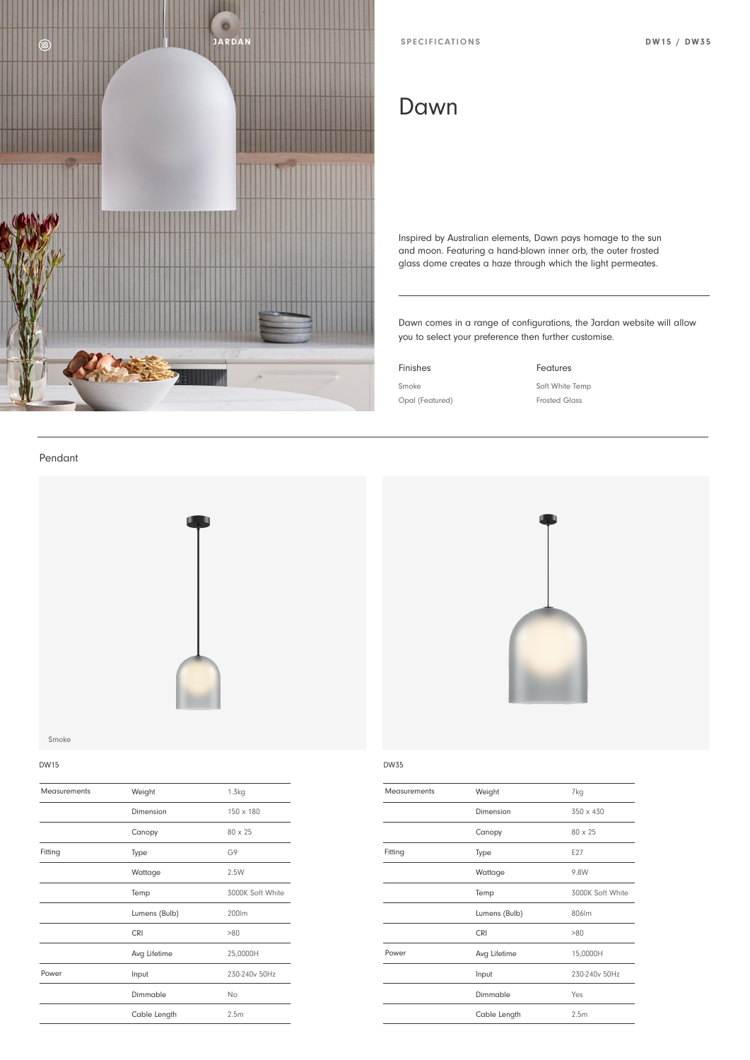

# Dawn

Inspired by Australian elements, Dawn pays homage to the sun and moon. Featuring a hand-blown inner orb, the outer frosted glass dome creates a haze through which the light permeates.

Dawn comes in a range of configurations, the Jardan website will allow you to select your preference then further customise.

## Finishes **Features**

Smoke Soft White Temp Opal (Featured) Frosted Glass

Pendant



Smoke

| <b>Measurements</b> | Weight        | 1.3kg            | Measurements |
|---------------------|---------------|------------------|--------------|
|                     | Dimension     | 150 x 180        |              |
|                     | Canopy        | 80 x 25          |              |
| Fitting             | Type          | G9               | Fitting      |
|                     | Wattage       | 2.5W             |              |
|                     | Temp          | 3000K Soft White |              |
|                     | Lumens (Bulb) | 200lm            |              |
|                     | <b>CRI</b>    | >80              |              |
|                     | Avg Lifetime  | 25,0000H         | Power        |
| Power               | Input         | 230-240v 50Hz    |              |
|                     | Dimmable      | No               |              |
|                     | Cable Length  | 2.5m             |              |



### DW15 DW35

| Measurements | Weight        | 7kg              |
|--------------|---------------|------------------|
|              | Dimension     | 350 x 430        |
|              | Canopy        | $80 \times 25$   |
| Fitting      | Type          | E27              |
|              | Wattage       | 9.8W             |
|              | Temp          | 3000K Soft White |
|              | Lumens (Bulb) | 806lm            |
|              | <b>CRI</b>    | >80              |
| Power        | Avg Lifetime  | 15,0000H         |
|              | Input         | 230-240v 50Hz    |
|              | Dimmable      | Yes              |
|              | Cable Length  | 2.5 <sub>m</sub> |
|              |               |                  |